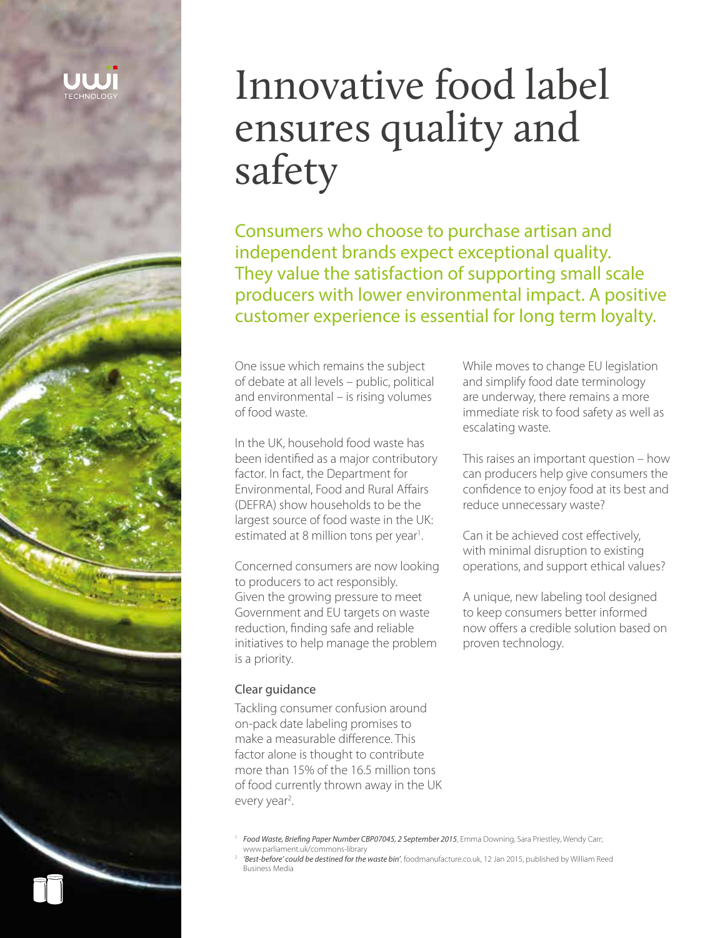

# Innovative food label ensures quality and safety

Consumers who choose to purchase artisan and independent brands expect exceptional quality. They value the satisfaction of supporting small scale producers with lower environmental impact. A positive customer experience is essential for long term loyalty.

One issue which remains the subject of debate at all levels – public, political and environmental – is rising volumes of food waste.

In the UK, household food waste has been identified as a major contributory factor. In fact, the Department for Environmental, Food and Rural Affairs (DEFRA) show households to be the largest source of food waste in the UK: estimated at 8 million tons per year<sup>1</sup>. .

Concerned consumers are now looking to producers to act responsibly. Given the growing pressure to meet Government and EU targets on waste reduction, finding safe and reliable initiatives to help manage the problem is a priority.

#### Clear guidance

Tackling consumer confusion around on-pack date labeling promises to make a measurable difference. This factor alone is thought to contribute more than 15% of the 16.5 million tons of food currently thrown away in the UK every year<sup>2</sup>.

While moves to change EU legislation and simplify food date terminology are underway, there remains a more immediate risk to food safety as well as escalating waste.

This raises an important question – how can producers help give consumers the confidence to enjoy food at its best and reduce unnecessary waste?

Can it be achieved cost effectively, with minimal disruption to existing operations, and support ethical values?

A unique, new labeling tool designed to keep consumers better informed now offers a credible solution based on proven technology.

- <sup>1</sup> Food Waste, Briefing Paper Number CBP07045, 2 September 2015, Emma Downing, Sara Priestley, Wendy Carr; www.parliament.uk/commons-library
- 2 *'Best-before' could be destined for the waste bin'*, foodmanufacture.co.uk, 12 Jan 2015, published by William Reed Business Media